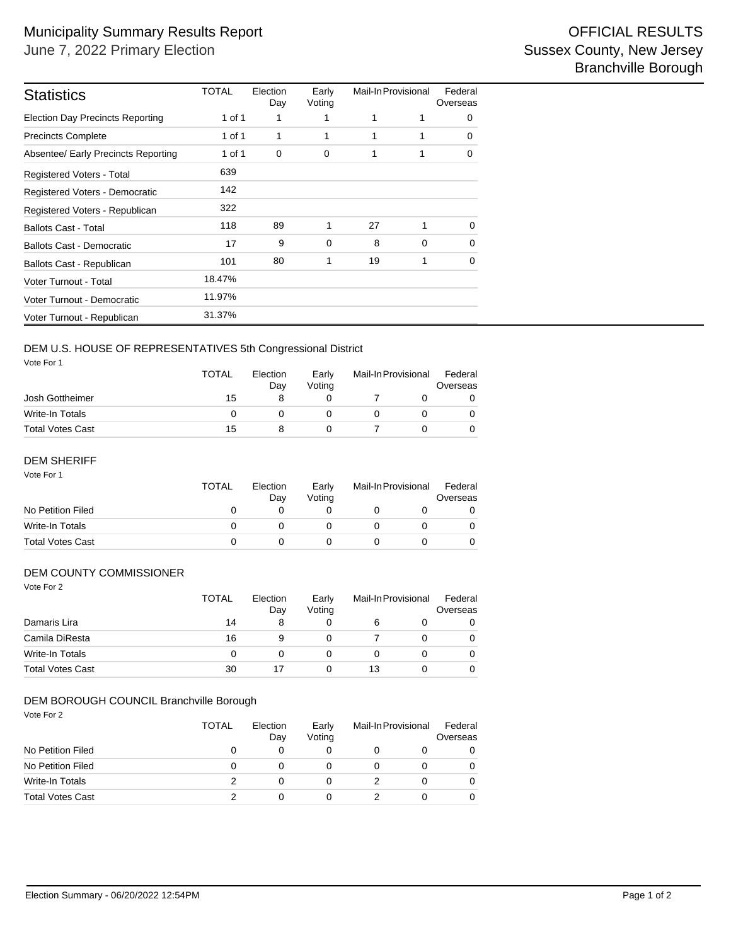| <b>Statistics</b>                       | <b>TOTAL</b> | Election<br>Day | Early<br>Voting | Mail-In Provisional |   | Federal<br>Overseas |  |
|-----------------------------------------|--------------|-----------------|-----------------|---------------------|---|---------------------|--|
| <b>Election Day Precincts Reporting</b> | 1 of 1       | 1               | 1               | 1                   | 1 | $\Omega$            |  |
| <b>Precincts Complete</b>               | 1 of 1       | 1               | 1               | 1                   | 1 | $\Omega$            |  |
| Absentee/ Early Precincts Reporting     | 1 of 1       | 0               | 0               | 1                   | 1 | 0                   |  |
| Registered Voters - Total               | 639          |                 |                 |                     |   |                     |  |
| Registered Voters - Democratic          | 142          |                 |                 |                     |   |                     |  |
| Registered Voters - Republican          | 322          |                 |                 |                     |   |                     |  |
| <b>Ballots Cast - Total</b>             | 118          | 89              | 1               | 27                  | 1 | $\Omega$            |  |
| <b>Ballots Cast - Democratic</b>        | 17           | 9               | $\mathbf 0$     | 8                   | 0 | $\Omega$            |  |
| Ballots Cast - Republican               | 101          | 80              | 1               | 19                  | 1 | $\Omega$            |  |
| Voter Turnout - Total                   | 18.47%       |                 |                 |                     |   |                     |  |
| Voter Turnout - Democratic              | 11.97%       |                 |                 |                     |   |                     |  |
| Voter Turnout - Republican              | 31.37%       |                 |                 |                     |   |                     |  |

### DEM U.S. HOUSE OF REPRESENTATIVES 5th Congressional District

Vote For 1

|                         | TOTAL | Election<br>Dav |  | Mail-In Provisional |  | Federal<br>Overseas |  |
|-------------------------|-------|-----------------|--|---------------------|--|---------------------|--|
| Josh Gottheimer         | 15    |                 |  |                     |  |                     |  |
| Write-In Totals         |       |                 |  |                     |  |                     |  |
| <b>Total Votes Cast</b> | 15    |                 |  |                     |  |                     |  |

## DEM SHERIFF

| Vote For 1              | TOTAL | Election<br>Day | Early<br>Voting | Mail-In Provisional |  | Federal<br>Overseas |
|-------------------------|-------|-----------------|-----------------|---------------------|--|---------------------|
| No Petition Filed       | O     |                 |                 |                     |  |                     |
| Write-In Totals         | O     |                 |                 |                     |  |                     |
| <b>Total Votes Cast</b> | 0     |                 |                 |                     |  |                     |

#### DEM COUNTY COMMISSIONER

| Vote For 2              | <b>TOTAL</b> | Election<br>Day | Early<br>Voting | Mail-In Provisional |   | Federal<br>Overseas |  |
|-------------------------|--------------|-----------------|-----------------|---------------------|---|---------------------|--|
| Damaris Lira            | 14           | 8               |                 | 6                   | 0 | 0                   |  |
| Camila DiResta          | 16           | 9               | 0               |                     | 0 | 0                   |  |
| <b>Write-In Totals</b>  | 0            | 0               | 0               | 0                   | 0 | $\Omega$            |  |
| <b>Total Votes Cast</b> | 30           | 17              |                 | 13                  |   | $\Omega$            |  |

#### DEM BOROUGH COUNCIL Branchville Borough

Vote For 2

|                         | TOTAL | Election<br>Day | Early<br>Votina | Mail-In Provisional |   |
|-------------------------|-------|-----------------|-----------------|---------------------|---|
| No Petition Filed       |       |                 |                 |                     | 0 |
| No Petition Filed       |       |                 |                 |                     | 0 |
| Write-In Totals         |       |                 |                 |                     | 0 |
| <b>Total Votes Cast</b> |       |                 |                 |                     |   |